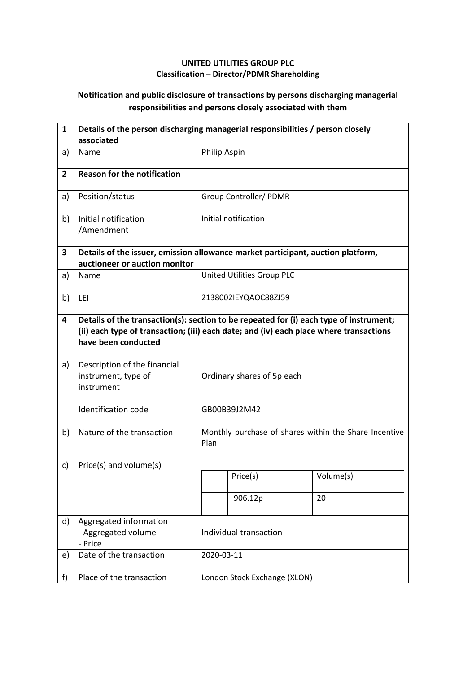## **UNITED UTILITIES GROUP PLC Classification – Director/PDMR Shareholding**

## **Notification and public disclosure of transactions by persons discharging managerial responsibilities and persons closely associated with them**

| $\mathbf{1}$   | Details of the person discharging managerial responsibilities / person closely<br>associated                     |                                                                                                                                                                                  |                              |                                                       |  |
|----------------|------------------------------------------------------------------------------------------------------------------|----------------------------------------------------------------------------------------------------------------------------------------------------------------------------------|------------------------------|-------------------------------------------------------|--|
| a)             | Name                                                                                                             | Philip Aspin                                                                                                                                                                     |                              |                                                       |  |
| $\overline{2}$ | <b>Reason for the notification</b>                                                                               |                                                                                                                                                                                  |                              |                                                       |  |
| a)             | Position/status                                                                                                  |                                                                                                                                                                                  | Group Controller/ PDMR       |                                                       |  |
| b)             | Initial notification<br>/Amendment                                                                               |                                                                                                                                                                                  | Initial notification         |                                                       |  |
| 3              | Details of the issuer, emission allowance market participant, auction platform,<br>auctioneer or auction monitor |                                                                                                                                                                                  |                              |                                                       |  |
| a)             | Name                                                                                                             |                                                                                                                                                                                  | United Utilities Group PLC   |                                                       |  |
| b)             | LEI                                                                                                              |                                                                                                                                                                                  | 2138002IEYQAOC88ZJ59         |                                                       |  |
| 4              | have been conducted                                                                                              | Details of the transaction(s): section to be repeated for (i) each type of instrument;<br>(ii) each type of transaction; (iii) each date; and (iv) each place where transactions |                              |                                                       |  |
| a)             | Description of the financial<br>instrument, type of<br>instrument                                                | Ordinary shares of 5p each                                                                                                                                                       |                              |                                                       |  |
|                | Identification code                                                                                              |                                                                                                                                                                                  | GB00B39J2M42                 |                                                       |  |
| b)             | Nature of the transaction                                                                                        | Plan                                                                                                                                                                             |                              | Monthly purchase of shares within the Share Incentive |  |
| c)             | Price(s) and volume(s)                                                                                           |                                                                                                                                                                                  |                              |                                                       |  |
|                |                                                                                                                  |                                                                                                                                                                                  | Price(s)                     | Volume(s)                                             |  |
|                |                                                                                                                  |                                                                                                                                                                                  | 906.12p                      | 20                                                    |  |
| d)             | Aggregated information<br>- Aggregated volume<br>- Price                                                         | Individual transaction                                                                                                                                                           |                              |                                                       |  |
| e)             | Date of the transaction                                                                                          |                                                                                                                                                                                  | 2020-03-11                   |                                                       |  |
| f)             | Place of the transaction                                                                                         |                                                                                                                                                                                  | London Stock Exchange (XLON) |                                                       |  |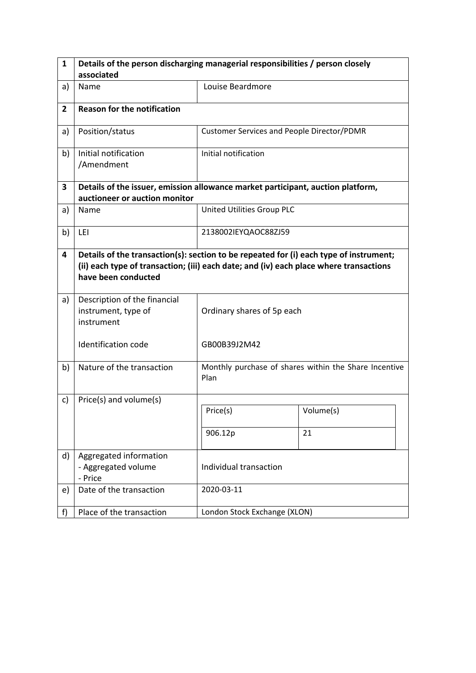| 1              | Details of the person discharging managerial responsibilities / person closely                                                                                                                          |                                            |                                                       |  |  |  |
|----------------|---------------------------------------------------------------------------------------------------------------------------------------------------------------------------------------------------------|--------------------------------------------|-------------------------------------------------------|--|--|--|
|                | associated                                                                                                                                                                                              |                                            |                                                       |  |  |  |
| a)             | Name                                                                                                                                                                                                    | Louise Beardmore                           |                                                       |  |  |  |
| $\overline{2}$ | <b>Reason for the notification</b>                                                                                                                                                                      |                                            |                                                       |  |  |  |
| a)             | Position/status                                                                                                                                                                                         | Customer Services and People Director/PDMR |                                                       |  |  |  |
| b)             | Initial notification<br>/Amendment                                                                                                                                                                      | Initial notification                       |                                                       |  |  |  |
| 3              | Details of the issuer, emission allowance market participant, auction platform,                                                                                                                         |                                            |                                                       |  |  |  |
|                | auctioneer or auction monitor                                                                                                                                                                           |                                            |                                                       |  |  |  |
| a)             | Name                                                                                                                                                                                                    | United Utilities Group PLC                 |                                                       |  |  |  |
| b)             | LEI                                                                                                                                                                                                     | 2138002IEYQAOC88ZJ59                       |                                                       |  |  |  |
| 4              | Details of the transaction(s): section to be repeated for (i) each type of instrument;<br>(ii) each type of transaction; (iii) each date; and (iv) each place where transactions<br>have been conducted |                                            |                                                       |  |  |  |
| a)             | Description of the financial<br>instrument, type of<br>instrument                                                                                                                                       | Ordinary shares of 5p each                 |                                                       |  |  |  |
|                | Identification code                                                                                                                                                                                     | GB00B39J2M42                               |                                                       |  |  |  |
| b)             | Nature of the transaction                                                                                                                                                                               | Plan                                       | Monthly purchase of shares within the Share Incentive |  |  |  |
| c)             | Price(s) and volume(s)                                                                                                                                                                                  |                                            |                                                       |  |  |  |
|                |                                                                                                                                                                                                         | Price(s)                                   | Volume(s)                                             |  |  |  |
|                |                                                                                                                                                                                                         | 906.12p                                    | 21                                                    |  |  |  |
| d)             | Aggregated information<br>- Aggregated volume<br>- Price                                                                                                                                                | Individual transaction                     |                                                       |  |  |  |
| e)             | Date of the transaction                                                                                                                                                                                 | 2020-03-11                                 |                                                       |  |  |  |
| f)             | Place of the transaction                                                                                                                                                                                | London Stock Exchange (XLON)               |                                                       |  |  |  |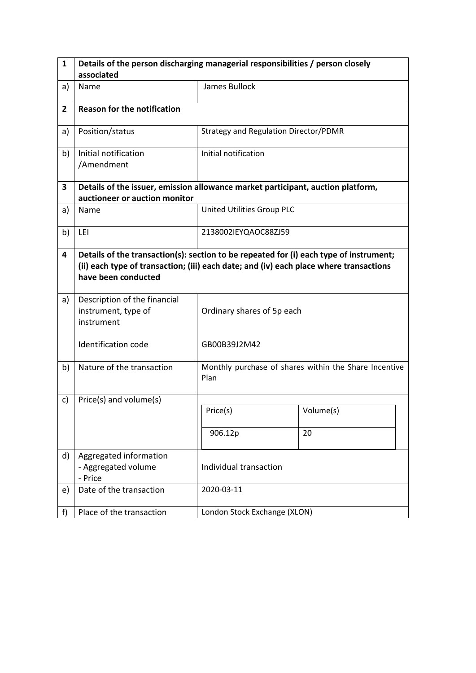| $\mathbf{1}$   | Details of the person discharging managerial responsibilities / person closely                                                                                                                          |                                       |                                                       |  |  |  |
|----------------|---------------------------------------------------------------------------------------------------------------------------------------------------------------------------------------------------------|---------------------------------------|-------------------------------------------------------|--|--|--|
|                | associated                                                                                                                                                                                              |                                       |                                                       |  |  |  |
| a)             | Name                                                                                                                                                                                                    | James Bullock                         |                                                       |  |  |  |
| $\overline{2}$ | <b>Reason for the notification</b>                                                                                                                                                                      |                                       |                                                       |  |  |  |
| a)             | Position/status                                                                                                                                                                                         | Strategy and Regulation Director/PDMR |                                                       |  |  |  |
| b)             | Initial notification<br>/Amendment                                                                                                                                                                      | Initial notification                  |                                                       |  |  |  |
| 3              | Details of the issuer, emission allowance market participant, auction platform,                                                                                                                         |                                       |                                                       |  |  |  |
|                | auctioneer or auction monitor                                                                                                                                                                           |                                       |                                                       |  |  |  |
| a)             | Name                                                                                                                                                                                                    | United Utilities Group PLC            |                                                       |  |  |  |
| b)             | LEI                                                                                                                                                                                                     | 2138002IEYQAOC88ZJ59                  |                                                       |  |  |  |
| 4              | Details of the transaction(s): section to be repeated for (i) each type of instrument;<br>(ii) each type of transaction; (iii) each date; and (iv) each place where transactions<br>have been conducted |                                       |                                                       |  |  |  |
| a)             | Description of the financial<br>instrument, type of<br>instrument                                                                                                                                       | Ordinary shares of 5p each            |                                                       |  |  |  |
|                | Identification code                                                                                                                                                                                     | GB00B39J2M42                          |                                                       |  |  |  |
| b)             | Nature of the transaction                                                                                                                                                                               | Plan                                  | Monthly purchase of shares within the Share Incentive |  |  |  |
| c)             | Price(s) and volume(s)                                                                                                                                                                                  |                                       |                                                       |  |  |  |
|                |                                                                                                                                                                                                         | Price(s)                              | Volume(s)                                             |  |  |  |
|                |                                                                                                                                                                                                         | 906.12p                               | 20                                                    |  |  |  |
| d)             | Aggregated information<br>- Aggregated volume<br>- Price                                                                                                                                                | Individual transaction                |                                                       |  |  |  |
| e)             | Date of the transaction                                                                                                                                                                                 | 2020-03-11                            |                                                       |  |  |  |
| f              | Place of the transaction                                                                                                                                                                                | London Stock Exchange (XLON)          |                                                       |  |  |  |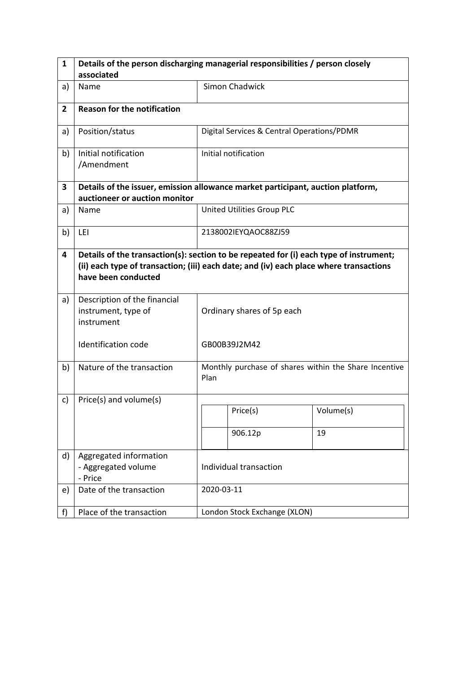| $\mathbf{1}$   | Details of the person discharging managerial responsibilities / person closely  |                                                                                                                                                                                  |                                                       |           |  |  |
|----------------|---------------------------------------------------------------------------------|----------------------------------------------------------------------------------------------------------------------------------------------------------------------------------|-------------------------------------------------------|-----------|--|--|
|                | associated                                                                      |                                                                                                                                                                                  |                                                       |           |  |  |
| a)             | Name                                                                            |                                                                                                                                                                                  | Simon Chadwick                                        |           |  |  |
| $\overline{2}$ | <b>Reason for the notification</b>                                              |                                                                                                                                                                                  |                                                       |           |  |  |
| a)             | Position/status                                                                 |                                                                                                                                                                                  | Digital Services & Central Operations/PDMR            |           |  |  |
| b)             | Initial notification<br>/Amendment                                              |                                                                                                                                                                                  | Initial notification                                  |           |  |  |
| 3              | Details of the issuer, emission allowance market participant, auction platform, |                                                                                                                                                                                  |                                                       |           |  |  |
|                | auctioneer or auction monitor                                                   |                                                                                                                                                                                  |                                                       |           |  |  |
| a)             | Name                                                                            |                                                                                                                                                                                  | United Utilities Group PLC                            |           |  |  |
| b)             | LEI                                                                             |                                                                                                                                                                                  | 2138002IEYQAOC88ZJ59                                  |           |  |  |
| 4              | have been conducted                                                             | Details of the transaction(s): section to be repeated for (i) each type of instrument;<br>(ii) each type of transaction; (iii) each date; and (iv) each place where transactions |                                                       |           |  |  |
| a)             | Description of the financial<br>instrument, type of<br>instrument               |                                                                                                                                                                                  | Ordinary shares of 5p each                            |           |  |  |
|                | Identification code                                                             |                                                                                                                                                                                  | GB00B39J2M42                                          |           |  |  |
| b)             | Nature of the transaction                                                       | Plan                                                                                                                                                                             | Monthly purchase of shares within the Share Incentive |           |  |  |
| c)             | Price(s) and volume(s)                                                          |                                                                                                                                                                                  |                                                       |           |  |  |
|                |                                                                                 |                                                                                                                                                                                  | Price(s)                                              | Volume(s) |  |  |
|                |                                                                                 |                                                                                                                                                                                  | 906.12p                                               | 19        |  |  |
| d)             | Aggregated information<br>- Aggregated volume<br>- Price                        | Individual transaction                                                                                                                                                           |                                                       |           |  |  |
| e)             | Date of the transaction                                                         |                                                                                                                                                                                  | 2020-03-11                                            |           |  |  |
| f              | Place of the transaction                                                        |                                                                                                                                                                                  | London Stock Exchange (XLON)                          |           |  |  |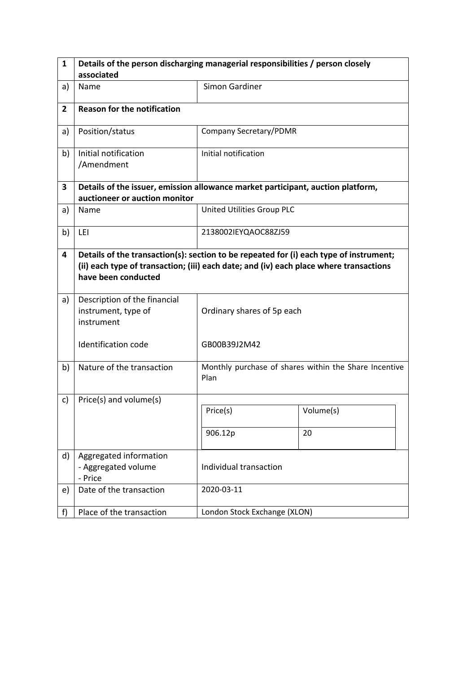| $\mathbf{1}$   | Details of the person discharging managerial responsibilities / person closely                                                                                                                          |                              |                                                       |  |  |  |
|----------------|---------------------------------------------------------------------------------------------------------------------------------------------------------------------------------------------------------|------------------------------|-------------------------------------------------------|--|--|--|
|                | associated                                                                                                                                                                                              |                              |                                                       |  |  |  |
| a)             | Name                                                                                                                                                                                                    | <b>Simon Gardiner</b>        |                                                       |  |  |  |
| $\overline{2}$ | <b>Reason for the notification</b>                                                                                                                                                                      |                              |                                                       |  |  |  |
| a)             | Position/status                                                                                                                                                                                         | Company Secretary/PDMR       |                                                       |  |  |  |
| b)             | Initial notification<br>/Amendment                                                                                                                                                                      | Initial notification         |                                                       |  |  |  |
| 3              | Details of the issuer, emission allowance market participant, auction platform,                                                                                                                         |                              |                                                       |  |  |  |
|                | auctioneer or auction monitor                                                                                                                                                                           |                              |                                                       |  |  |  |
| a)             | Name                                                                                                                                                                                                    | United Utilities Group PLC   |                                                       |  |  |  |
| b)             | LEI                                                                                                                                                                                                     | 2138002IEYQAOC88ZJ59         |                                                       |  |  |  |
| 4              | Details of the transaction(s): section to be repeated for (i) each type of instrument;<br>(ii) each type of transaction; (iii) each date; and (iv) each place where transactions<br>have been conducted |                              |                                                       |  |  |  |
| a)             | Description of the financial<br>instrument, type of<br>instrument                                                                                                                                       | Ordinary shares of 5p each   |                                                       |  |  |  |
|                | Identification code                                                                                                                                                                                     | GB00B39J2M42                 |                                                       |  |  |  |
| b)             | Nature of the transaction                                                                                                                                                                               | Plan                         | Monthly purchase of shares within the Share Incentive |  |  |  |
| c)             | Price(s) and volume(s)                                                                                                                                                                                  |                              |                                                       |  |  |  |
|                |                                                                                                                                                                                                         | Price(s)                     | Volume(s)                                             |  |  |  |
|                |                                                                                                                                                                                                         | 906.12p                      | 20                                                    |  |  |  |
| d)             | Aggregated information<br>- Aggregated volume<br>- Price                                                                                                                                                | Individual transaction       |                                                       |  |  |  |
| e)             | Date of the transaction                                                                                                                                                                                 | 2020-03-11                   |                                                       |  |  |  |
| f              | Place of the transaction                                                                                                                                                                                | London Stock Exchange (XLON) |                                                       |  |  |  |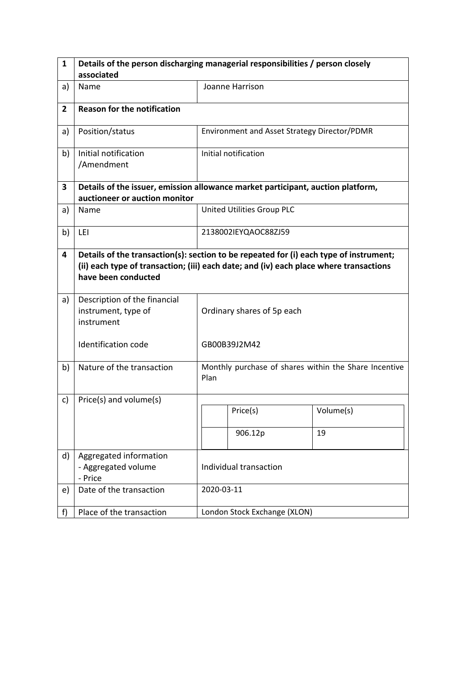| 1              | Details of the person discharging managerial responsibilities / person closely                                                                                                                          |                        |                                                       |           |  |
|----------------|---------------------------------------------------------------------------------------------------------------------------------------------------------------------------------------------------------|------------------------|-------------------------------------------------------|-----------|--|
|                | associated                                                                                                                                                                                              |                        |                                                       |           |  |
| a)             | Name                                                                                                                                                                                                    |                        | Joanne Harrison                                       |           |  |
| $\overline{2}$ | <b>Reason for the notification</b>                                                                                                                                                                      |                        |                                                       |           |  |
| a)             | Position/status                                                                                                                                                                                         |                        | Environment and Asset Strategy Director/PDMR          |           |  |
| b)             | Initial notification<br>/Amendment                                                                                                                                                                      |                        | Initial notification                                  |           |  |
| 3              | Details of the issuer, emission allowance market participant, auction platform,                                                                                                                         |                        |                                                       |           |  |
|                | auctioneer or auction monitor                                                                                                                                                                           |                        |                                                       |           |  |
| a)             | Name                                                                                                                                                                                                    |                        | United Utilities Group PLC                            |           |  |
| b)             | LEI                                                                                                                                                                                                     | 2138002IEYQAOC88ZJ59   |                                                       |           |  |
| 4              | Details of the transaction(s): section to be repeated for (i) each type of instrument;<br>(ii) each type of transaction; (iii) each date; and (iv) each place where transactions<br>have been conducted |                        |                                                       |           |  |
| a)             | Description of the financial<br>instrument, type of<br>instrument                                                                                                                                       |                        | Ordinary shares of 5p each                            |           |  |
|                | Identification code                                                                                                                                                                                     |                        | GB00B39J2M42                                          |           |  |
| b)             | Nature of the transaction                                                                                                                                                                               | Plan                   | Monthly purchase of shares within the Share Incentive |           |  |
| c)             | Price(s) and volume(s)                                                                                                                                                                                  |                        |                                                       |           |  |
|                |                                                                                                                                                                                                         |                        | Price(s)                                              | Volume(s) |  |
|                |                                                                                                                                                                                                         |                        | 906.12p                                               | 19        |  |
| d)             | Aggregated information<br>- Aggregated volume<br>- Price                                                                                                                                                | Individual transaction |                                                       |           |  |
| e)             | Date of the transaction                                                                                                                                                                                 |                        | 2020-03-11                                            |           |  |
| f)             | Place of the transaction                                                                                                                                                                                |                        | London Stock Exchange (XLON)                          |           |  |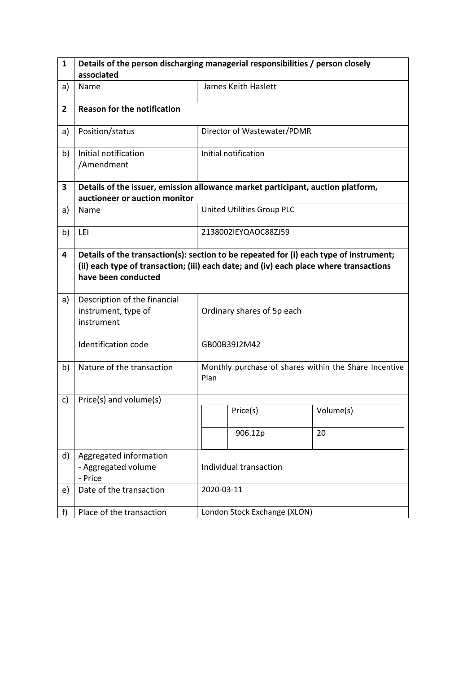| 1              | Details of the person discharging managerial responsibilities / person closely                                                                                                                          |                            |                                                       |           |  |
|----------------|---------------------------------------------------------------------------------------------------------------------------------------------------------------------------------------------------------|----------------------------|-------------------------------------------------------|-----------|--|
|                | associated                                                                                                                                                                                              |                            |                                                       |           |  |
| a)             | Name                                                                                                                                                                                                    |                            | James Keith Haslett                                   |           |  |
| $\overline{2}$ | <b>Reason for the notification</b>                                                                                                                                                                      |                            |                                                       |           |  |
| a)             | Position/status                                                                                                                                                                                         |                            | Director of Wastewater/PDMR                           |           |  |
| b)             | Initial notification<br>/Amendment                                                                                                                                                                      |                            | Initial notification                                  |           |  |
| 3              | Details of the issuer, emission allowance market participant, auction platform,                                                                                                                         |                            |                                                       |           |  |
|                | auctioneer or auction monitor                                                                                                                                                                           |                            |                                                       |           |  |
| a)             | Name                                                                                                                                                                                                    |                            | United Utilities Group PLC                            |           |  |
| b)             | LEI                                                                                                                                                                                                     |                            | 2138002IEYQAOC88ZJ59                                  |           |  |
| 4              | Details of the transaction(s): section to be repeated for (i) each type of instrument;<br>(ii) each type of transaction; (iii) each date; and (iv) each place where transactions<br>have been conducted |                            |                                                       |           |  |
| a)             | Description of the financial<br>instrument, type of<br>instrument                                                                                                                                       | Ordinary shares of 5p each |                                                       |           |  |
|                | Identification code                                                                                                                                                                                     |                            | GB00B39J2M42                                          |           |  |
| b)             | Nature of the transaction                                                                                                                                                                               | Plan                       | Monthly purchase of shares within the Share Incentive |           |  |
| c)             | Price(s) and volume(s)                                                                                                                                                                                  |                            |                                                       |           |  |
|                |                                                                                                                                                                                                         |                            | Price(s)                                              | Volume(s) |  |
|                |                                                                                                                                                                                                         |                            | 906.12p                                               | 20        |  |
| d)             | Aggregated information<br>- Aggregated volume<br>- Price                                                                                                                                                | Individual transaction     |                                                       |           |  |
| e)             | Date of the transaction                                                                                                                                                                                 |                            | 2020-03-11                                            |           |  |
| f)             | Place of the transaction                                                                                                                                                                                |                            | London Stock Exchange (XLON)                          |           |  |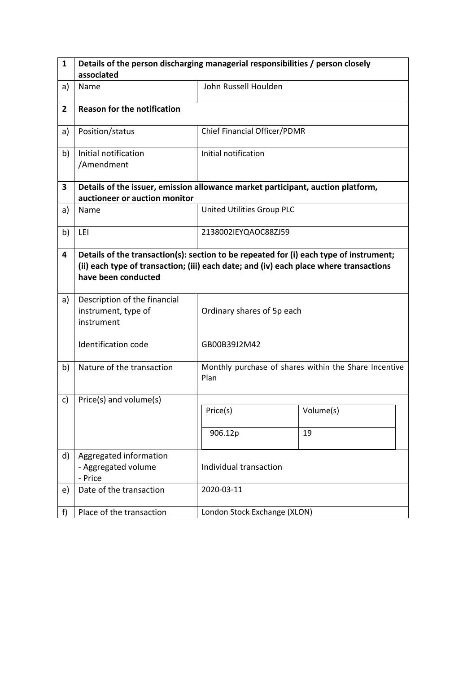| 1              | Details of the person discharging managerial responsibilities / person closely                                                                                                                          |                              |                                                       |  |  |  |
|----------------|---------------------------------------------------------------------------------------------------------------------------------------------------------------------------------------------------------|------------------------------|-------------------------------------------------------|--|--|--|
|                | associated                                                                                                                                                                                              |                              |                                                       |  |  |  |
| a)             | Name                                                                                                                                                                                                    | John Russell Houlden         |                                                       |  |  |  |
| $\overline{2}$ | <b>Reason for the notification</b>                                                                                                                                                                      |                              |                                                       |  |  |  |
| a)             | Position/status                                                                                                                                                                                         | Chief Financial Officer/PDMR |                                                       |  |  |  |
| b)             | Initial notification<br>/Amendment                                                                                                                                                                      | Initial notification         |                                                       |  |  |  |
| 3              | Details of the issuer, emission allowance market participant, auction platform,                                                                                                                         |                              |                                                       |  |  |  |
|                | auctioneer or auction monitor                                                                                                                                                                           |                              |                                                       |  |  |  |
| a)             | Name                                                                                                                                                                                                    | United Utilities Group PLC   |                                                       |  |  |  |
| b)             | LEI                                                                                                                                                                                                     | 2138002IEYQAOC88ZJ59         |                                                       |  |  |  |
| 4              | Details of the transaction(s): section to be repeated for (i) each type of instrument;<br>(ii) each type of transaction; (iii) each date; and (iv) each place where transactions<br>have been conducted |                              |                                                       |  |  |  |
| a)             | Description of the financial<br>instrument, type of<br>instrument                                                                                                                                       | Ordinary shares of 5p each   |                                                       |  |  |  |
|                | Identification code                                                                                                                                                                                     | GB00B39J2M42                 |                                                       |  |  |  |
| b)             | Nature of the transaction                                                                                                                                                                               | Plan                         | Monthly purchase of shares within the Share Incentive |  |  |  |
| c)             | Price(s) and volume(s)                                                                                                                                                                                  |                              |                                                       |  |  |  |
|                |                                                                                                                                                                                                         | Price(s)                     | Volume(s)                                             |  |  |  |
|                |                                                                                                                                                                                                         | 906.12p                      | 19                                                    |  |  |  |
| d)             | Aggregated information<br>- Aggregated volume<br>- Price                                                                                                                                                | Individual transaction       |                                                       |  |  |  |
| e)             | Date of the transaction                                                                                                                                                                                 | 2020-03-11                   |                                                       |  |  |  |
| f)             | Place of the transaction                                                                                                                                                                                | London Stock Exchange (XLON) |                                                       |  |  |  |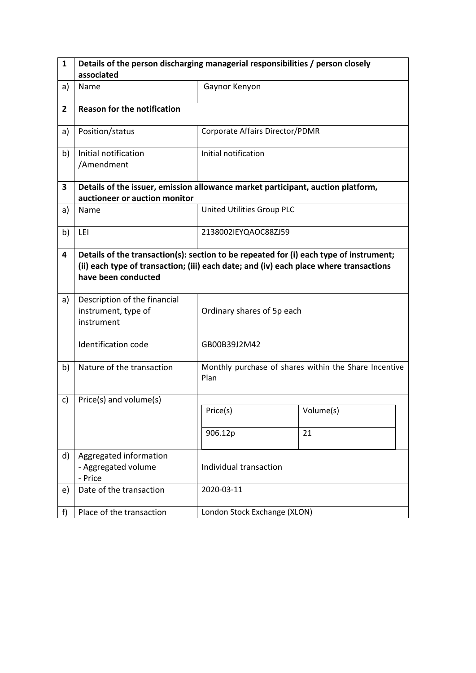| 1              | Details of the person discharging managerial responsibilities / person closely                                                                                                                          |                                 |                                                       |  |  |  |
|----------------|---------------------------------------------------------------------------------------------------------------------------------------------------------------------------------------------------------|---------------------------------|-------------------------------------------------------|--|--|--|
|                | associated                                                                                                                                                                                              |                                 |                                                       |  |  |  |
| a)             | Name                                                                                                                                                                                                    | Gaynor Kenyon                   |                                                       |  |  |  |
| $\overline{2}$ | <b>Reason for the notification</b>                                                                                                                                                                      |                                 |                                                       |  |  |  |
| a)             | Position/status                                                                                                                                                                                         | Corporate Affairs Director/PDMR |                                                       |  |  |  |
| b)             | Initial notification<br>/Amendment                                                                                                                                                                      | Initial notification            |                                                       |  |  |  |
| 3              | Details of the issuer, emission allowance market participant, auction platform,                                                                                                                         |                                 |                                                       |  |  |  |
|                | auctioneer or auction monitor                                                                                                                                                                           |                                 |                                                       |  |  |  |
| a)             | Name                                                                                                                                                                                                    | United Utilities Group PLC      |                                                       |  |  |  |
| b)             | LEI                                                                                                                                                                                                     | 2138002IEYQAOC88ZJ59            |                                                       |  |  |  |
| 4              | Details of the transaction(s): section to be repeated for (i) each type of instrument;<br>(ii) each type of transaction; (iii) each date; and (iv) each place where transactions<br>have been conducted |                                 |                                                       |  |  |  |
| a)             | Description of the financial<br>instrument, type of<br>instrument                                                                                                                                       | Ordinary shares of 5p each      |                                                       |  |  |  |
|                | Identification code                                                                                                                                                                                     | GB00B39J2M42                    |                                                       |  |  |  |
| b)             | Nature of the transaction                                                                                                                                                                               | Plan                            | Monthly purchase of shares within the Share Incentive |  |  |  |
| c)             | Price(s) and volume(s)                                                                                                                                                                                  |                                 |                                                       |  |  |  |
|                |                                                                                                                                                                                                         | Price(s)                        | Volume(s)                                             |  |  |  |
|                |                                                                                                                                                                                                         | 906.12p                         | 21                                                    |  |  |  |
| d)             | Aggregated information<br>- Aggregated volume<br>- Price                                                                                                                                                | Individual transaction          |                                                       |  |  |  |
| e)             | Date of the transaction                                                                                                                                                                                 | 2020-03-11                      |                                                       |  |  |  |
| f)             | Place of the transaction                                                                                                                                                                                | London Stock Exchange (XLON)    |                                                       |  |  |  |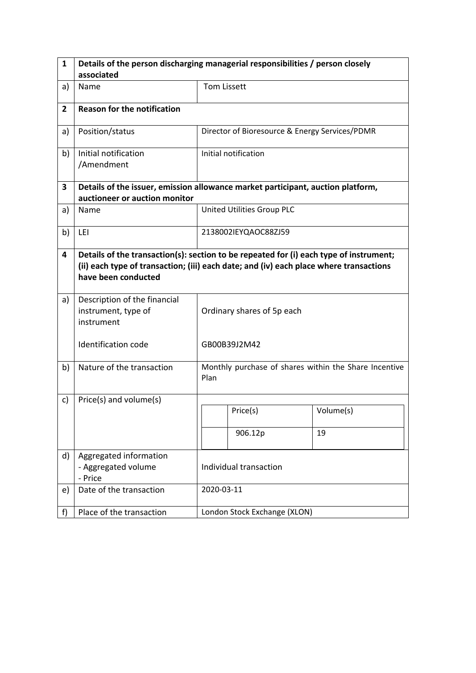| 1              | Details of the person discharging managerial responsibilities / person closely                                                                                                                          |                            |                                                       |           |  |
|----------------|---------------------------------------------------------------------------------------------------------------------------------------------------------------------------------------------------------|----------------------------|-------------------------------------------------------|-----------|--|
|                | associated                                                                                                                                                                                              |                            |                                                       |           |  |
| a)             | Name                                                                                                                                                                                                    |                            | <b>Tom Lissett</b>                                    |           |  |
| $\overline{2}$ | <b>Reason for the notification</b>                                                                                                                                                                      |                            |                                                       |           |  |
| a)             | Position/status                                                                                                                                                                                         |                            | Director of Bioresource & Energy Services/PDMR        |           |  |
| b)             | Initial notification<br>/Amendment                                                                                                                                                                      |                            | Initial notification                                  |           |  |
| 3              | Details of the issuer, emission allowance market participant, auction platform,                                                                                                                         |                            |                                                       |           |  |
|                | auctioneer or auction monitor                                                                                                                                                                           |                            |                                                       |           |  |
| a)             | Name                                                                                                                                                                                                    |                            | United Utilities Group PLC                            |           |  |
| b)             | LEI                                                                                                                                                                                                     | 2138002IEYQAOC88ZJ59       |                                                       |           |  |
| 4              | Details of the transaction(s): section to be repeated for (i) each type of instrument;<br>(ii) each type of transaction; (iii) each date; and (iv) each place where transactions<br>have been conducted |                            |                                                       |           |  |
| a)             | Description of the financial<br>instrument, type of<br>instrument                                                                                                                                       | Ordinary shares of 5p each |                                                       |           |  |
|                | <b>Identification code</b>                                                                                                                                                                              | GB00B39J2M42               |                                                       |           |  |
| b)             | Nature of the transaction                                                                                                                                                                               | Plan                       | Monthly purchase of shares within the Share Incentive |           |  |
| c)             | Price(s) and volume(s)                                                                                                                                                                                  |                            |                                                       |           |  |
|                |                                                                                                                                                                                                         |                            | Price(s)                                              | Volume(s) |  |
|                |                                                                                                                                                                                                         |                            | 906.12p                                               | 19        |  |
| d)             | Aggregated information<br>- Aggregated volume<br>- Price                                                                                                                                                | Individual transaction     |                                                       |           |  |
| e)             | Date of the transaction                                                                                                                                                                                 |                            | 2020-03-11                                            |           |  |
| f)             | Place of the transaction                                                                                                                                                                                |                            | London Stock Exchange (XLON)                          |           |  |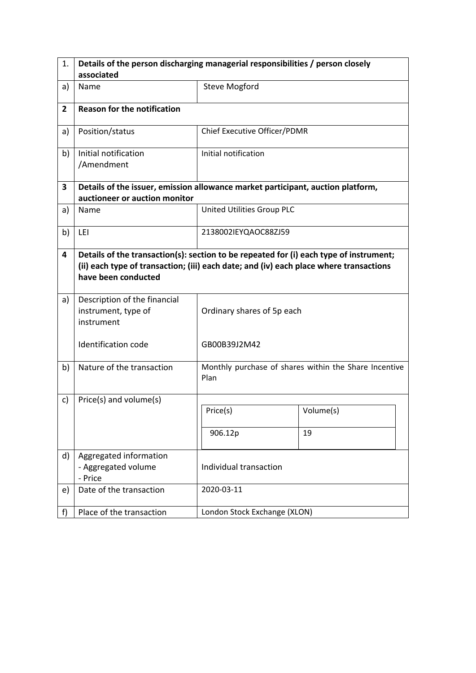| 1.             | Details of the person discharging managerial responsibilities / person closely                                                                                                                          |                              |                                                       |  |  |  |
|----------------|---------------------------------------------------------------------------------------------------------------------------------------------------------------------------------------------------------|------------------------------|-------------------------------------------------------|--|--|--|
|                | associated                                                                                                                                                                                              |                              |                                                       |  |  |  |
| a)             | Name                                                                                                                                                                                                    | <b>Steve Mogford</b>         |                                                       |  |  |  |
| $\overline{2}$ | <b>Reason for the notification</b>                                                                                                                                                                      |                              |                                                       |  |  |  |
| a)             | Position/status                                                                                                                                                                                         | Chief Executive Officer/PDMR |                                                       |  |  |  |
| b)             | Initial notification<br>/Amendment                                                                                                                                                                      | Initial notification         |                                                       |  |  |  |
| 3              | Details of the issuer, emission allowance market participant, auction platform,                                                                                                                         |                              |                                                       |  |  |  |
|                | auctioneer or auction monitor                                                                                                                                                                           |                              |                                                       |  |  |  |
| a)             | Name                                                                                                                                                                                                    | United Utilities Group PLC   |                                                       |  |  |  |
| b)             | LEI                                                                                                                                                                                                     | 2138002IEYQAOC88ZJ59         |                                                       |  |  |  |
| 4              | Details of the transaction(s): section to be repeated for (i) each type of instrument;<br>(ii) each type of transaction; (iii) each date; and (iv) each place where transactions<br>have been conducted |                              |                                                       |  |  |  |
| a)             | Description of the financial<br>instrument, type of<br>instrument                                                                                                                                       | Ordinary shares of 5p each   |                                                       |  |  |  |
|                | Identification code                                                                                                                                                                                     | GB00B39J2M42                 |                                                       |  |  |  |
| b)             | Nature of the transaction                                                                                                                                                                               | Plan                         | Monthly purchase of shares within the Share Incentive |  |  |  |
| c)             | Price(s) and volume(s)                                                                                                                                                                                  |                              |                                                       |  |  |  |
|                |                                                                                                                                                                                                         | Price(s)                     | Volume(s)                                             |  |  |  |
|                |                                                                                                                                                                                                         | 906.12p                      | 19                                                    |  |  |  |
| d)             | Aggregated information<br>- Aggregated volume<br>- Price                                                                                                                                                | Individual transaction       |                                                       |  |  |  |
| e)             | Date of the transaction                                                                                                                                                                                 | 2020-03-11                   |                                                       |  |  |  |
| f              | Place of the transaction                                                                                                                                                                                | London Stock Exchange (XLON) |                                                       |  |  |  |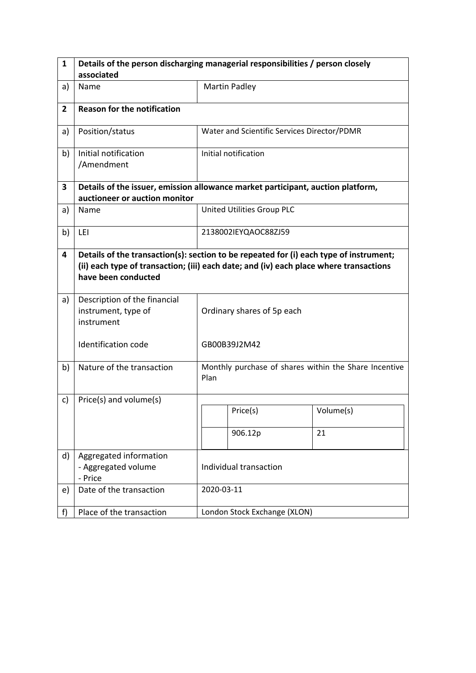| 1              | Details of the person discharging managerial responsibilities / person closely                                                                                                                          |                                                               |                                             |           |  |
|----------------|---------------------------------------------------------------------------------------------------------------------------------------------------------------------------------------------------------|---------------------------------------------------------------|---------------------------------------------|-----------|--|
|                | associated                                                                                                                                                                                              |                                                               |                                             |           |  |
| a)             | Name                                                                                                                                                                                                    |                                                               | <b>Martin Padley</b>                        |           |  |
| $\overline{2}$ | <b>Reason for the notification</b>                                                                                                                                                                      |                                                               |                                             |           |  |
| a)             | Position/status                                                                                                                                                                                         |                                                               | Water and Scientific Services Director/PDMR |           |  |
| b)             | Initial notification<br>/Amendment                                                                                                                                                                      |                                                               | Initial notification                        |           |  |
| 3              | Details of the issuer, emission allowance market participant, auction platform,                                                                                                                         |                                                               |                                             |           |  |
|                | auctioneer or auction monitor                                                                                                                                                                           |                                                               |                                             |           |  |
| a)             | Name                                                                                                                                                                                                    |                                                               | United Utilities Group PLC                  |           |  |
| b)             | LEI                                                                                                                                                                                                     | 2138002IEYQAOC88ZJ59                                          |                                             |           |  |
| 4              | Details of the transaction(s): section to be repeated for (i) each type of instrument;<br>(ii) each type of transaction; (iii) each date; and (iv) each place where transactions<br>have been conducted |                                                               |                                             |           |  |
| a)             | Description of the financial<br>instrument, type of<br>instrument                                                                                                                                       | Ordinary shares of 5p each                                    |                                             |           |  |
|                | Identification code                                                                                                                                                                                     |                                                               | GB00B39J2M42                                |           |  |
| b)             | Nature of the transaction                                                                                                                                                                               | Monthly purchase of shares within the Share Incentive<br>Plan |                                             |           |  |
| c)             | Price(s) and volume(s)                                                                                                                                                                                  |                                                               |                                             |           |  |
|                |                                                                                                                                                                                                         |                                                               | Price(s)                                    | Volume(s) |  |
|                |                                                                                                                                                                                                         |                                                               | 906.12p                                     | 21        |  |
| d)             | Aggregated information<br>- Aggregated volume<br>- Price                                                                                                                                                | Individual transaction                                        |                                             |           |  |
| e)             | Date of the transaction                                                                                                                                                                                 | 2020-03-11                                                    |                                             |           |  |
| f)             | Place of the transaction                                                                                                                                                                                |                                                               | London Stock Exchange (XLON)                |           |  |